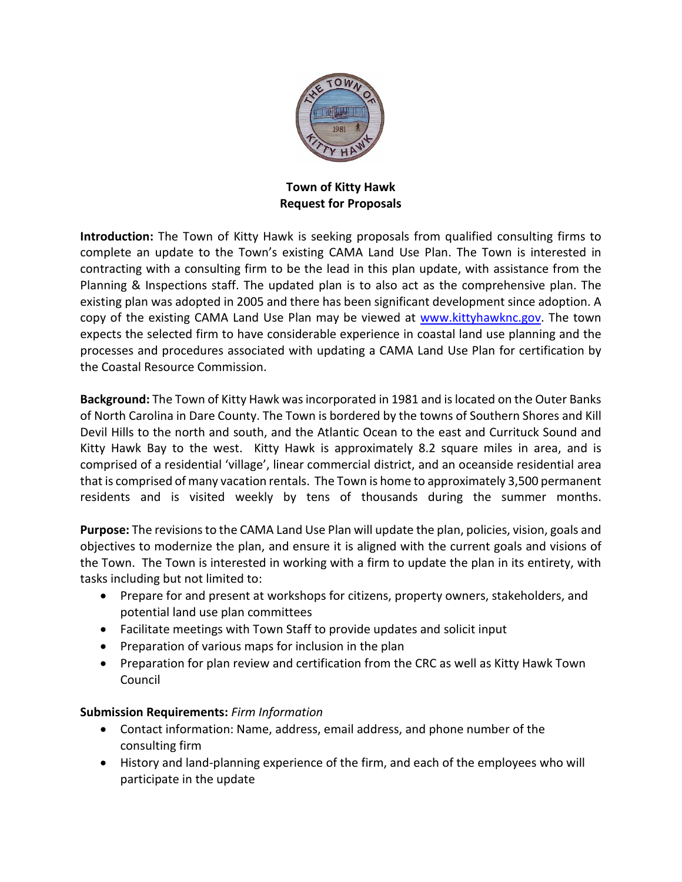

**Town of Kitty Hawk Request for Proposals**

**Introduction:** The Town of Kitty Hawk is seeking proposals from qualified consulting firms to complete an update to the Town's existing CAMA Land Use Plan. The Town is interested in contracting with a consulting firm to be the lead in this plan update, with assistance from the Planning & Inspections staff. The updated plan is to also act as the comprehensive plan. The existing plan was adopted in 2005 and there has been significant development since adoption. A copy of the existing CAMA Land Use Plan may be viewed at [www.kittyhawknc.gov.](http://www.kittyhawknc.gov/) The town expects the selected firm to have considerable experience in coastal land use planning and the processes and procedures associated with updating a CAMA Land Use Plan for certification by the Coastal Resource Commission.

**Background:** The Town of Kitty Hawk was incorporated in 1981 and is located on the Outer Banks of North Carolina in Dare County. The Town is bordered by the towns of Southern Shores and Kill Devil Hills to the north and south, and the Atlantic Ocean to the east and Currituck Sound and Kitty Hawk Bay to the west. Kitty Hawk is approximately 8.2 square miles in area, and is comprised of a residential 'village', linear commercial district, and an oceanside residential area that is comprised of many vacation rentals. The Town is home to approximately 3,500 permanent residents and is visited weekly by tens of thousands during the summer months.

**Purpose:** The revisions to the CAMA Land Use Plan will update the plan, policies, vision, goals and objectives to modernize the plan, and ensure it is aligned with the current goals and visions of the Town. The Town is interested in working with a firm to update the plan in its entirety, with tasks including but not limited to:

- Prepare for and present at workshops for citizens, property owners, stakeholders, and potential land use plan committees
- Facilitate meetings with Town Staff to provide updates and solicit input
- Preparation of various maps for inclusion in the plan
- Preparation for plan review and certification from the CRC as well as Kitty Hawk Town Council

## **Submission Requirements:** *Firm Information*

- Contact information: Name, address, email address, and phone number of the consulting firm
- History and land-planning experience of the firm, and each of the employees who will participate in the update